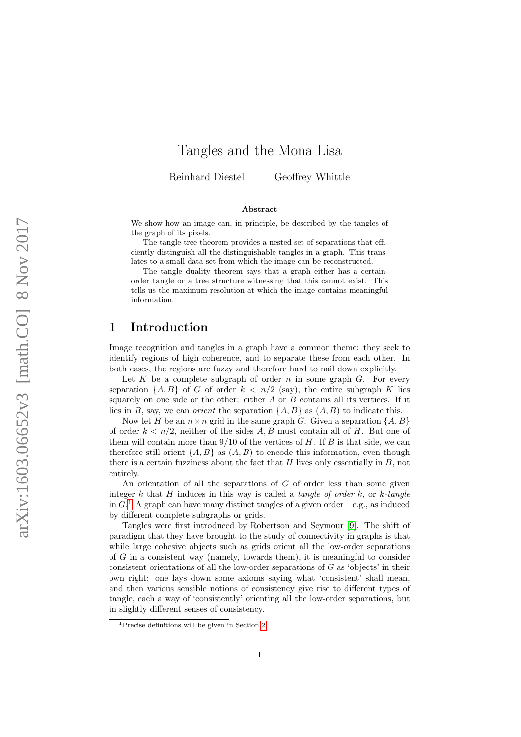# Tangles and the Mona Lisa

Reinhard Diestel Geoffrey Whittle

#### Abstract

We show how an image can, in principle, be described by the tangles of the graph of its pixels.

The tangle-tree theorem provides a nested set of separations that efficiently distinguish all the distinguishable tangles in a graph. This translates to a small data set from which the image can be reconstructed.

The tangle duality theorem says that a graph either has a certainorder tangle or a tree structure witnessing that this cannot exist. This tells us the maximum resolution at which the image contains meaningful information.

## 1 Introduction

Image recognition and tangles in a graph have a common theme: they seek to identify regions of high coherence, and to separate these from each other. In both cases, the regions are fuzzy and therefore hard to nail down explicitly.

Let  $K$  be a complete subgraph of order  $n$  in some graph  $G$ . For every separation  $\{A, B\}$  of G of order  $k < n/2$  (say), the entire subgraph K lies squarely on one side or the other: either  $A$  or  $B$  contains all its vertices. If it lies in B, say, we can *orient* the separation  $\{A, B\}$  as  $(A, B)$  to indicate this.

Now let H be an  $n \times n$  grid in the same graph G. Given a separation  $\{A, B\}$ of order  $k < n/2$ , neither of the sides A, B must contain all of H. But one of them will contain more than  $9/10$  of the vertices of H. If B is that side, we can therefore still orient  $\{A, B\}$  as  $(A, B)$  to encode this information, even though there is a certain fuzziness about the fact that  $H$  lives only essentially in  $B$ , not entirely.

An orientation of all the separations of  $G$  of order less than some given integer k that H induces in this way is called a *tangle of order k*, or k-tangle in  $G<sup>1</sup>$  $G<sup>1</sup>$  $G<sup>1</sup>$  A graph can have many distinct tangles of a given order – e.g., as induced by different complete subgraphs or grids.

Tangles were first introduced by Robertson and Seymour [\[9\]](#page-21-0). The shift of paradigm that they have brought to the study of connectivity in graphs is that while large cohesive objects such as grids orient all the low-order separations of G in a consistent way (namely, towards them), it is meaningful to consider consistent orientations of all the low-order separations of G as 'objects' in their own right: one lays down some axioms saying what 'consistent' shall mean, and then various sensible notions of consistency give rise to different types of tangle, each a way of 'consistently' orienting all the low-order separations, but in slightly different senses of consistency.

<span id="page-0-0"></span><sup>1</sup>Precise definitions will be given in Section [2.](#page-2-0)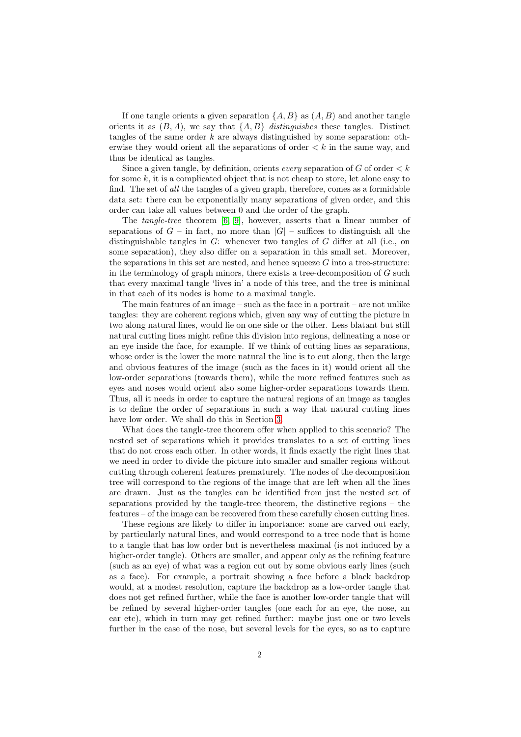If one tangle orients a given separation  $\{A, B\}$  as  $(A, B)$  and another tangle orients it as  $(B, A)$ , we say that  $\{A, B\}$  distinguishes these tangles. Distinct tangles of the same order  $k$  are always distinguished by some separation: otherwise they would orient all the separations of order  $\lt k$  in the same way, and thus be identical as tangles.

Since a given tangle, by definition, orients every separation of G of order  $\lt k$ for some  $k$ , it is a complicated object that is not cheap to store, let alone easy to find. The set of all the tangles of a given graph, therefore, comes as a formidable data set: there can be exponentially many separations of given order, and this order can take all values between 0 and the order of the graph.

The tangle-tree theorem [\[6,](#page-21-1) [9\]](#page-21-0), however, asserts that a linear number of separations of  $G$  – in fact, no more than  $|G|$  – suffices to distinguish all the distinguishable tangles in G: whenever two tangles of G differ at all (i.e., on some separation), they also differ on a separation in this small set. Moreover, the separations in this set are nested, and hence squeeze  $G$  into a tree-structure: in the terminology of graph minors, there exists a tree-decomposition of  $G$  such that every maximal tangle 'lives in' a node of this tree, and the tree is minimal in that each of its nodes is home to a maximal tangle.

The main features of an image – such as the face in a portrait – are not unlike tangles: they are coherent regions which, given any way of cutting the picture in two along natural lines, would lie on one side or the other. Less blatant but still natural cutting lines might refine this division into regions, delineating a nose or an eye inside the face, for example. If we think of cutting lines as separations, whose order is the lower the more natural the line is to cut along, then the large and obvious features of the image (such as the faces in it) would orient all the low-order separations (towards them), while the more refined features such as eyes and noses would orient also some higher-order separations towards them. Thus, all it needs in order to capture the natural regions of an image as tangles is to define the order of separations in such a way that natural cutting lines have low order. We shall do this in Section [3.](#page-8-0)

What does the tangle-tree theorem offer when applied to this scenario? The nested set of separations which it provides translates to a set of cutting lines that do not cross each other. In other words, it finds exactly the right lines that we need in order to divide the picture into smaller and smaller regions without cutting through coherent features prematurely. The nodes of the decomposition tree will correspond to the regions of the image that are left when all the lines are drawn. Just as the tangles can be identified from just the nested set of separations provided by the tangle-tree theorem, the distinctive regions – the features – of the image can be recovered from these carefully chosen cutting lines.

These regions are likely to differ in importance: some are carved out early, by particularly natural lines, and would correspond to a tree node that is home to a tangle that has low order but is nevertheless maximal (is not induced by a higher-order tangle). Others are smaller, and appear only as the refining feature (such as an eye) of what was a region cut out by some obvious early lines (such as a face). For example, a portrait showing a face before a black backdrop would, at a modest resolution, capture the backdrop as a low-order tangle that does not get refined further, while the face is another low-order tangle that will be refined by several higher-order tangles (one each for an eye, the nose, an ear etc), which in turn may get refined further: maybe just one or two levels further in the case of the nose, but several levels for the eyes, so as to capture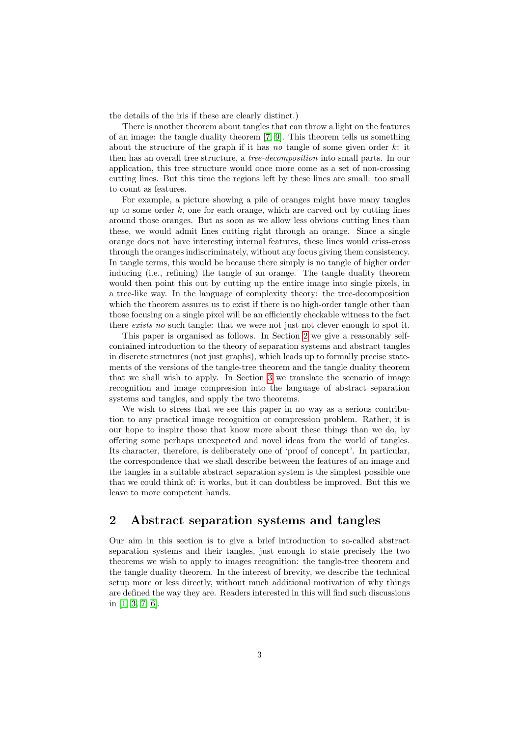the details of the iris if these are clearly distinct.)

There is another theorem about tangles that can throw a light on the features of an image: the tangle duality theorem [\[7,](#page-21-2) [9\]](#page-21-0). This theorem tells us something about the structure of the graph if it has no tangle of some given order  $k$ : it then has an overall tree structure, a tree-decomposition into small parts. In our application, this tree structure would once more come as a set of non-crossing cutting lines. But this time the regions left by these lines are small: too small to count as features.

For example, a picture showing a pile of oranges might have many tangles up to some order  $k$ , one for each orange, which are carved out by cutting lines around those oranges. But as soon as we allow less obvious cutting lines than these, we would admit lines cutting right through an orange. Since a single orange does not have interesting internal features, these lines would criss-cross through the oranges indiscriminately, without any focus giving them consistency. In tangle terms, this would be because there simply is no tangle of higher order inducing (i.e., refining) the tangle of an orange. The tangle duality theorem would then point this out by cutting up the entire image into single pixels, in a tree-like way. In the language of complexity theory: the tree-decomposition which the theorem assures us to exist if there is no high-order tangle other than those focusing on a single pixel will be an efficiently checkable witness to the fact there exists no such tangle: that we were not just not clever enough to spot it.

This paper is organised as follows. In Section [2](#page-2-0) we give a reasonably selfcontained introduction to the theory of separation systems and abstract tangles in discrete structures (not just graphs), which leads up to formally precise statements of the versions of the tangle-tree theorem and the tangle duality theorem that we shall wish to apply. In Section [3](#page-8-0) we translate the scenario of image recognition and image compression into the language of abstract separation systems and tangles, and apply the two theorems.

We wish to stress that we see this paper in no way as a serious contribution to any practical image recognition or compression problem. Rather, it is our hope to inspire those that know more about these things than we do, by offering some perhaps unexpected and novel ideas from the world of tangles. Its character, therefore, is deliberately one of 'proof of concept'. In particular, the correspondence that we shall describe between the features of an image and the tangles in a suitable abstract separation system is the simplest possible one that we could think of: it works, but it can doubtless be improved. But this we leave to more competent hands.

# <span id="page-2-0"></span>2 Abstract separation systems and tangles

Our aim in this section is to give a brief introduction to so-called abstract separation systems and their tangles, just enough to state precisely the two theorems we wish to apply to images recognition: the tangle-tree theorem and the tangle duality theorem. In the interest of brevity, we describe the technical setup more or less directly, without much additional motivation of why things are defined the way they are. Readers interested in this will find such discussions in [\[1,](#page-21-3) [3,](#page-21-4) [7,](#page-21-2) [6\]](#page-21-1).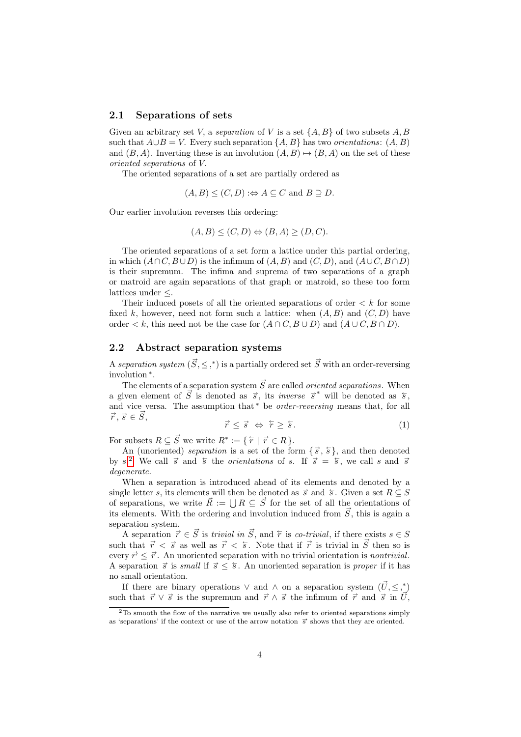#### 2.1 Separations of sets

Given an arbitrary set V, a separation of V is a set  $\{A, B\}$  of two subsets A, B such that  $A \cup B = V$ . Every such separation  $\{A, B\}$  has two *orientations*:  $(A, B)$ and  $(B, A)$ . Inverting these is an involution  $(A, B) \mapsto (B, A)$  on the set of these oriented separations of V.

The oriented separations of a set are partially ordered as

 $(A, B) \leq (C, D) :\Leftrightarrow A \subseteq C \text{ and } B \supseteq D.$ 

Our earlier involution reverses this ordering:

$$
(A, B) \le (C, D) \Leftrightarrow (B, A) \ge (D, C).
$$

The oriented separations of a set form a lattice under this partial ordering, in which  $(A \cap C, B \cup D)$  is the infimum of  $(A, B)$  and  $(C, D)$ , and  $(A \cup C, B \cap D)$ is their supremum. The infima and suprema of two separations of a graph or matroid are again separations of that graph or matroid, so these too form lattices under ≤.

Their induced posets of all the oriented separations of order  $\langle k \rangle$  for some fixed k, however, need not form such a lattice: when  $(A, B)$  and  $(C, D)$  have order  $\lt k$ , this need not be the case for  $(A \cap C, B \cup D)$  and  $(A \cup C, B \cap D)$ .

#### 2.2 Abstract separation systems

A separation system  $(\vec{S}, \leq,^*)$  is a partially ordered set  $\vec{S}$  with an order-reversing involution <sup>∗</sup> .

The elements of a separation system  $\vec{S}$  are called *oriented separations*. When a given element of  $\vec{S}$  is denoted as  $\vec{s}$ , its *inverse*  $\vec{s}^*$  will be denoted as  $\vec{s}$ , and vice versa. The assumption that<sup>\*</sup> be *order-reversing* means that, for all  $\vec{r}, \vec{s} \in \vec{S}$  $S, \qquad \qquad \rightarrow$ 

<span id="page-3-1"></span>
$$
\vec{r} \leq \vec{s} \iff \tilde{r} \geq \tilde{s}.\tag{1}
$$

For subsets  $R \subseteq \vec{S}$  we write  $R^* := \{ \overleftarrow{r} \mid \vec{r} \in R \}.$ 

An (unoriented) *separation* is a set of the form  $\{\vec{s}, \vec{s}\}\$ , and then denoted by s.<sup>[2](#page-3-0)</sup> We call  $\vec{s}$  and  $\vec{s}$  the *orientations* of s. If  $\vec{s} = \vec{s}$ , we call s and  $\vec{s}$ degenerate.

When a separation is introduced ahead of its elements and denoted by a single letter s, its elements will then be denoted as  $\vec{s}$  and  $\vec{s}$ . Given a set  $R \subseteq S$ of separations, we write  $\vec{R} := \bigcup R \subseteq \vec{S}$  for the set of all the orientations of its elements. With the ordering and involution induced from  $\vec{S}$ , this is again a separation system.

A separation  $\vec{r} \in \vec{S}$  is *trivial in*  $\vec{S}$ , and  $\hat{r}$  is *co-trivial*, if there exists  $s \in S$ such that  $\vec{r} < \vec{s}$  as well as  $\vec{r} < \vec{s}$ . Note that if  $\vec{r}$  is trivial in  $\vec{S}$  then so is every  $\vec{r'} \leq \vec{r}$ . An unoriented separation with no trivial orientation is *nontrivial*. A separation  $\vec{s}$  is small if  $\vec{s} \leq \vec{s}$ . An unoriented separation is proper if it has no small orientation.

If there are binary operations  $\vee$  and  $\wedge$  on a separation system  $(\vec{U}, \leq,^*)$ such that  $\vec{r} \vee \vec{s}$  is the supremum and  $\vec{r} \wedge \vec{s}$  the infimum of  $\vec{r}$  and  $\vec{s}$  in  $\vec{U}$ ,

<span id="page-3-0"></span> $2$ To smooth the flow of the narrative we usually also refer to oriented separations simply as 'separations' if the context or use of the arrow notation  $\vec{s}$  shows that they are oriented.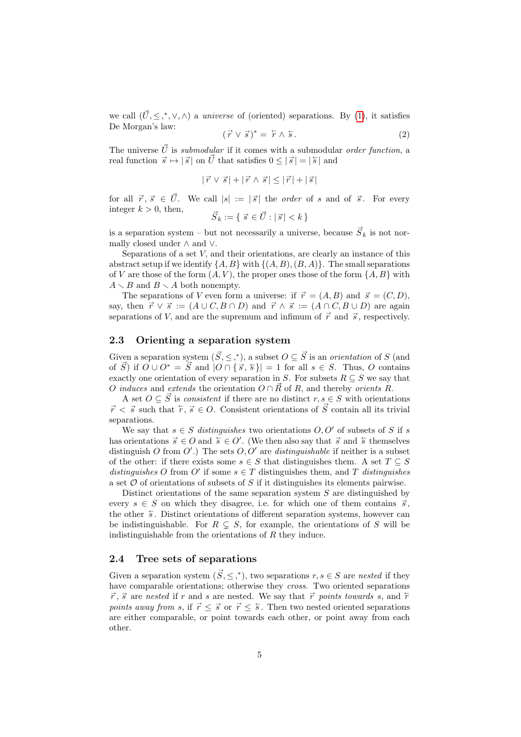we call  $(\vec{U}, \leq, *, \vee, \wedge)$  a *universe* of (oriented) separations. By [\(1\)](#page-3-1), it satisfies De Morgan's law:

$$
(\vec{r} \vee \vec{s})^* = \vec{r} \wedge \vec{s}.
$$
 (2)

The universe  $\vec{U}$  is submodular if it comes with a submodular order function, a real function  $\vec{s} \mapsto |\vec{s}|$  on  $\vec{U}$  that satisfies  $0 \leq |\vec{s}| = |\vec{s}|$  and

$$
|\vec{r} \vee \vec{s}| + |\vec{r} \wedge \vec{s}| \leq |\vec{r}| + |\vec{s}|
$$

for all  $\vec{r}, \vec{s} \in \vec{U}$ . We call  $|s| := |\vec{s}|$  the *order* of s and of  $\vec{s}$ . For every integer  $k > 0$ , then,

$$
\vec{S}_k := \{ \vec{s} \in \vec{U} : |\vec{s}| < k \}
$$

is a separation system – but not necessarily a universe, because  $\vec{S}_k$  is not normally closed under ∧ and ∨.

Separations of a set V, and their orientations, are clearly an instance of this abstract setup if we identify  $\{A, B\}$  with  $\{(A, B), (B, A)\}$ . The small separations of V are those of the form  $(A, V)$ , the proper ones those of the form  $\{A, B\}$  with  $A \setminus B$  and  $B \setminus A$  both nonempty.

The separations of V even form a universe: if  $\vec{r} = (A, B)$  and  $\vec{s} = (C, D)$ , say, then  $\vec{r} \lor \vec{s} := (A \cup C, B \cap D)$  and  $\vec{r} \land \vec{s} := (A \cap C, B \cup D)$  are again separations of V, and are the supremum and infimum of  $\vec{r}$  and  $\vec{s}$ , respectively.

### 2.3 Orienting a separation system

Given a separation system  $(\vec{S}, \leq, *),$  a subset  $O \subseteq \vec{S}$  is an *orientation* of S (and of  $\vec{S}$ ) if  $\vec{O} \cup \vec{O}^* = \vec{S}$  and  $|\vec{O} \cap {\vec{s}, \vec{s}}| = 1$  for all  $s \in S$ . Thus,  $\vec{O}$  contains exactly one orientation of every separation in S. For subsets  $R \subseteq S$  we say that O induces and extends the orientation  $O \cap \vec{R}$  of R, and thereby orients R.

A set  $O \subseteq \vec{S}$  is *consistent* if there are no distinct  $r, s \in S$  with orientations  $\vec{r} < \vec{s}$  such that  $\hat{r}, \vec{s} \in O$ . Consistent orientations of  $\vec{S}$  contain all its trivial separations.

We say that  $s \in S$  distinguishes two orientations  $O, O'$  of subsets of S if s has orientations  $\vec{s} \in O$  and  $\vec{s} \in O'$ . (We then also say that  $\vec{s}$  and  $\vec{s}$  themselves distinguish O from  $O'$ .) The sets  $O, O'$  are *distinguishable* if neither is a subset of the other: if there exists some  $s \in S$  that distinguishes them. A set  $T \subseteq S$ distinguishes O from O' if some  $s \in T$  distinguishes them, and T distinguishes a set  $O$  of orientations of subsets of  $S$  if it distinguishes its elements pairwise.

Distinct orientations of the same separation system  $S$  are distinguished by every  $s \in S$  on which they disagree, i.e. for which one of them contains  $\vec{s}$ , the other  $\overline{s}$ . Distinct orientations of different separation systems, however can be indistinguishable. For  $R \subseteq S$ , for example, the orientations of S will be indistinguishable from the orientations of  $R$  they induce.

## <span id="page-4-0"></span>2.4 Tree sets of separations

Given a separation system  $(\vec{S}, \leq,^*)$ , two separations  $r, s \in S$  are nested if they have comparable orientations; otherwise they *cross*. Two oriented separations  $\vec{r}$ ,  $\vec{s}$  are nested if r and s are nested. We say that  $\vec{r}$  points towards s, and  $\hat{r}$ points away from s, if  $\vec{r} \leq \vec{s}$  or  $\vec{r} \leq \vec{s}$ . Then two nested oriented separations are either comparable, or point towards each other, or point away from each other.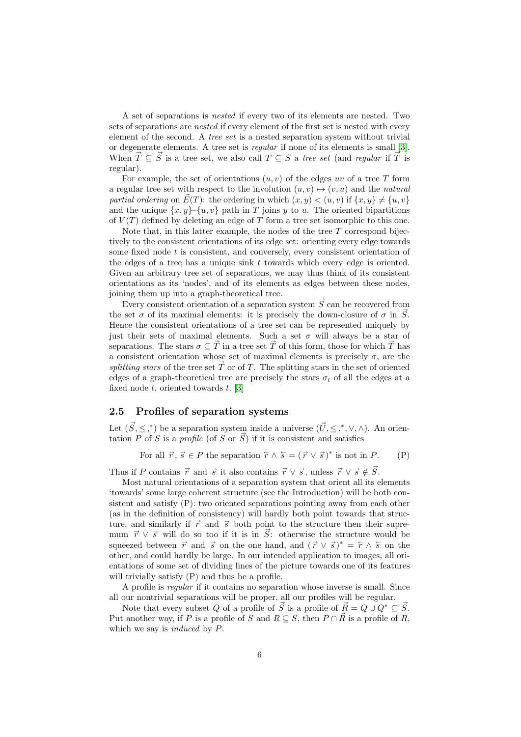A set of separations is nested if every two of its elements are nested. Two sets of separations are nested if every element of the first set is nested with every element of the second. A tree set is a nested separation system without trivial or degenerate elements. A tree set is regular if none of its elements is small [\[3\]](#page-21-4). When  $\vec{T} \subseteq \vec{S}$  is a tree set, we also call  $T \subseteq S$  a tree set (and regular if  $\vec{T}$  is regular).

For example, the set of orientations  $(u, v)$  of the edges uv of a tree T form a regular tree set with respect to the involution  $(u, v) \mapsto (v, u)$  and the natural partial ordering on  $\vec{E}(T)$ : the ordering in which  $(x, y) < (u, v)$  if  $\{x, y\} \neq \{u, v\}$ and the unique  $\{x, y\}$ – $\{u, v\}$  path in T joins y to u. The oriented bipartitions of  $V(T)$  defined by deleting an edge of T form a tree set isomorphic to this one.

Note that, in this latter example, the nodes of the tree  $T$  correspond bijectively to the consistent orientations of its edge set: orienting every edge towards some fixed node  $t$  is consistent, and conversely, every consistent orientation of the edges of a tree has a unique sink  $t$  towards which every edge is oriented. Given an arbitrary tree set of separations, we may thus think of its consistent orientations as its 'nodes', and of its elements as edges between these nodes, joining them up into a graph-theoretical tree.

Every consistent orientation of a separation system  $\vec{S}$  can be recovered from the set  $\sigma$  of its maximal elements: it is precisely the down-closure of  $\sigma$  in  $\vec{S}$ . Hence the consistent orientations of a tree set can be represented uniquely by just their sets of maximal elements. Such a set  $\sigma$  will always be a star of separations. The stars  $\sigma \subseteq \vec{T}$  in a tree set  $\vec{T}$  of this form, those for which  $\vec{T}$  has a consistent orientation whose set of maximal elements is precisely  $\sigma$ , are the splitting stars of the tree set  $\vec{T}$  or of T. The splitting stars in the set of oriented edges of a graph-theoretical tree are precisely the stars  $\sigma_t$  of all the edges at a fixed node  $t$ , oriented towards  $t$ . [\[3\]](#page-21-4)

## 2.5 Profiles of separation systems

Let  $(\vec{S}, \leq,^*)$  be a separation system inside a universe  $(\vec{U}, \leq,^*, \vee, \wedge)$ . An orientation  $\overline{P}$  of  $\overline{S}$  is a *profile* (of  $\overline{S}$  or  $\overline{S}$ ) if it is consistent and satisfies

For all  $\vec{r}, \vec{s} \in P$  the separation  $\hat{r} \wedge \hat{s} = (\vec{r} \vee \vec{s})^*$  is not in P. (P)

Thus if P contains  $\vec{r}$  and  $\vec{s}$  it also contains  $\vec{r} \vee \vec{s}$ , unless  $\vec{r} \vee \vec{s} \notin \vec{S}$ .

Most natural orientations of a separation system that orient all its elements 'towards' some large coherent structure (see the Introduction) will be both consistent and satisfy (P): two oriented separations pointing away from each other (as in the definition of consistency) will hardly both point towards that structure, and similarly if  $\vec{r}$  and  $\vec{s}$  both point to the structure then their supremum  $\vec{r} \vee \vec{s}$  will do so too if it is in  $\vec{S}$ : otherwise the structure would be squeezed between  $\vec{r}$  and  $\vec{s}$  on the one hand, and  $(\vec{r} \vee \vec{s})^* = \vec{r} \wedge \vec{s}$  on the other, and could hardly be large. In our intended application to images, all orientations of some set of dividing lines of the picture towards one of its features will trivially satisfy  $(P)$  and thus be a profile.

A profile is regular if it contains no separation whose inverse is small. Since all our nontrivial separations will be proper, all our profiles will be regular.

Note that every subset Q of a profile of  $\vec{S}$  is a profile of  $\vec{R} = Q \cup Q^* \subseteq \vec{S}$ . Put another way, if P is a profile of S and  $R \subseteq S$ , then  $P \cap \vec{R}$  is a profile of R, which we say is *induced* by P.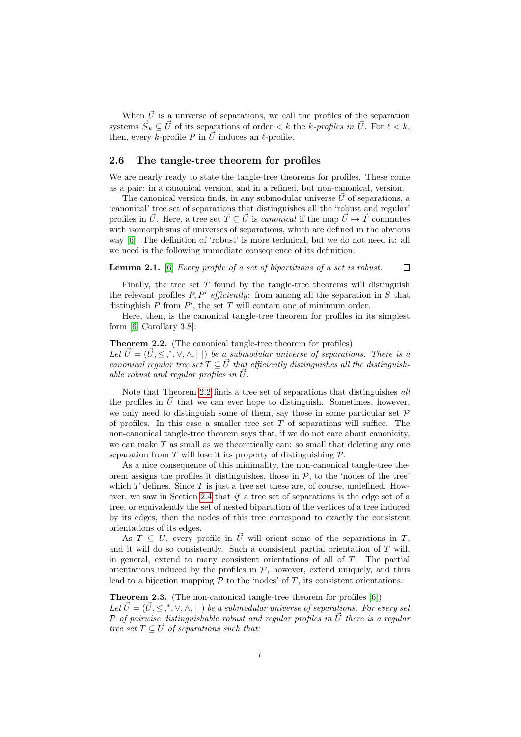When  $\vec{U}$  is a universe of separations, we call the profiles of the separation systems  $\vec{S}_k \subseteq \vec{U}$  of its separations of order  $\lt k$  the k-profiles in  $\vec{U}$ . For  $\ell \lt k$ , then, every k-profile P in  $\vec{U}$  induces an  $\ell$ -profile.

#### 2.6 The tangle-tree theorem for profiles

We are nearly ready to state the tangle-tree theorems for profiles. These come as a pair: in a canonical version, and in a refined, but non-canonical, version.

The canonical version finds, in any submodular universe  $\vec{U}$  of separations, a 'canonical' tree set of separations that distinguishes all the 'robust and regular' profiles in  $\vec{U}$ . Here, a tree set  $\vec{T} \subseteq \vec{U}$  is *canonical* if the map  $\vec{U} \mapsto \vec{T}$  commutes with isomorphisms of universes of separations, which are defined in the obvious way [\[6\]](#page-21-1). The definition of 'robust' is more technical, but we do not need it: all we need is the following immediate consequence of its definition:

#### **Lemma 2.1.** [\[6\]](#page-21-1) Every profile of a set of bipartitions of a set is robust.  $\Box$

Finally, the tree set  $T$  found by the tangle-tree theorems will distinguish the relevant profiles  $P, P'$  efficiently: from among all the separation in S that distinghish  $P$  from  $P'$ , the set  $T$  will contain one of minimum order.

Here, then, is the canonical tangle-tree theorem for profiles in its simplest form [\[6,](#page-21-1) Corollary 3.8]:

#### <span id="page-6-0"></span>Theorem 2.2. (The canonical tangle-tree theorem for profiles)

Let  $\vec{U} = (\vec{U}, \leq, \vec{K}, \vee, \wedge, |\cdot|)$  be a submodular universe of separations. There is a canonical regular tree set  $T \subseteq \vec{U}$  that efficiently distinguishes all the distinguishable robust and regular profiles in  $\vec{U}$ .

Note that Theorem [2.2](#page-6-0) finds a tree set of separations that distinguishes all the profiles in  $\vec{U}$  that we can ever hope to distinguish. Sometimes, however, we only need to distinguish some of them, say those in some particular set  $\mathcal P$ of profiles. In this case a smaller tree set  $T$  of separations will suffice. The non-canonical tangle-tree theorem says that, if we do not care about canonicity, we can make  $T$  as small as we theoretically can: so small that deleting any one separation from  $T$  will lose it its property of distinguishing  $\mathcal{P}$ .

As a nice consequence of this minimality, the non-canonical tangle-tree theorem assigns the profiles it distinguishes, those in  $P$ , to the 'nodes of the tree' which  $T$  defines. Since  $T$  is just a tree set these are, of course, undefined. However, we saw in Section [2.4](#page-4-0) that if a tree set of separations is the edge set of a tree, or equivalently the set of nested bipartition of the vertices of a tree induced by its edges, then the nodes of this tree correspond to exactly the consistent orientations of its edges.

As  $T \subseteq U$ , every profile in  $\vec{U}$  will orient some of the separations in T, and it will do so consistently. Such a consistent partial orientation of  $T$  will, in general, extend to many consistent orientations of all of  $T$ . The partial orientations induced by the profiles in  $P$ , however, extend uniquely, and thus lead to a bijection mapping  $P$  to the 'nodes' of  $T$ , its consistent orientations:

<span id="page-6-1"></span>**Theorem 2.3.** (The non-canonical tangle-tree theorem for profiles  $[6]$ ) Let  $\vec{U} = (\vec{U}, \leq, *, \vee, \wedge, | \cdot |)$  be a submodular universe of separations. For every set P of pairwise distinguishable robust and regular profiles in  $\vec{U}$  there is a regular tree set  $T \subseteq \vec{U}$  of separations such that: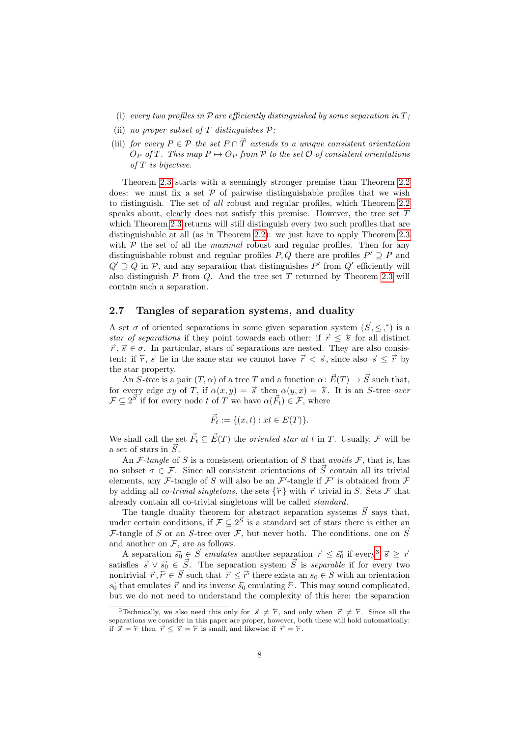- (i) every two profiles in  $P$  are efficiently distinguished by some separation in  $T$ ;
- (ii) no proper subset of T distinguishes  $P$ ;
- (iii) for every  $P \in \mathcal{P}$  the set  $P \cap \vec{T}$  extends to a unique consistent orientation  $O_P$  of T. This map  $P \mapsto O_P$  from P to the set  $\mathcal O$  of consistent orientations of T is bijective.

Theorem [2.3](#page-6-1) starts with a seemingly stronger premise than Theorem [2.2](#page-6-0) does: we must fix a set  $\mathcal P$  of pairwise distinguishable profiles that we wish to distinguish. The set of all robust and regular profiles, which Theorem [2.2](#page-6-0) speaks about, clearly does not satisfy this premise. However, the tree set  $T$ which Theorem [2.3](#page-6-1) returns will still distinguish every two such profiles that are distinguishable at all (as in Theorem [2.2\)](#page-6-0): we just have to apply Theorem [2.3](#page-6-1) with  $P$  the set of all the *maximal* robust and regular profiles. Then for any distinguishable robust and regular profiles  $P, Q$  there are profiles  $P' \supseteq P$  and  $Q' \supseteq Q$  in P, and any separation that distinguishes P' from  $Q'$  efficiently will also distinguish  $P$  from  $Q$ . And the tree set  $T$  returned by Theorem [2.3](#page-6-1) will contain such a separation.

## 2.7 Tangles of separation systems, and duality

A set  $\sigma$  of oriented separations in some given separation system  $(\vec{S}, \leq,^*)$  is a star of separations if they point towards each other: if  $\vec{r} \leq \overline{s}$  for all distinct  $\vec{r}, \vec{s} \in \sigma$ . In particular, stars of separations are nested. They are also consistent: if  $\overline{r}$ ,  $\overline{s}$  lie in the same star we cannot have  $\overrightarrow{r} < \overline{s}$ , since also  $\overline{s} \leq \overrightarrow{r}$  by the star property.

An  $S$ -tree is a pair  $(T, \alpha)$  of a tree T and a function  $\alpha \colon \vec{E}(T) \to \vec{S}$  such that, for every edge xy of T, if  $\alpha(x, y) = \vec{s}$  then  $\alpha(y, x) = \vec{s}$ . It is an S-tree over  $\mathcal{F} \subseteq 2^{\vec{S}}$  if for every node t of T we have  $\alpha(\vec{F}_t) \in \mathcal{F}$ , where

$$
\vec{F}_t := \{(x, t) : xt \in E(T)\}.
$$

We shall call the set  $\vec{F}_t \subseteq \vec{E}(T)$  the *oriented star at t* in T. Usually, F will be a set of stars in  $\vec{S}$ .

An F-tangle of S is a consistent orientation of S that avoids F, that is, has no subset  $\sigma \in \mathcal{F}$ . Since all consistent orientations of  $\vec{S}$  contain all its trivial elements, any F-tangle of S will also be an  $\mathcal{F}'$ -tangle if  $\mathcal{F}'$  is obtained from F by adding all *co-trivial singletons*, the sets  $\{\tau\}$  with  $\vec{r}$  trivial in S. Sets F that already contain all co-trivial singletons will be called standard.

The tangle duality theorem for abstract separation systems  $\vec{S}$  says that, under certain conditions, if  $\mathcal{F} \subseteq 2^{\vec{S}}$  is a standard set of stars there is either an F-tangle of S or an S-tree over F, but never both. The conditions, one on  $\vec{S}$ and another on  $F$ , are as follows.

A separation  $\vec{s_0} \in \vec{S}$  emulates another separation  $\vec{r} \leq \vec{s_0}$  if every<sup>[3](#page-7-0)</sup>  $\vec{s} \geq \vec{r}$ satisfies  $\vec{s} \vee \vec{s_0} \in \vec{S}$ . The separation system  $\vec{S}$  is *separable* if for every two nontrivial  $\vec{r}, \vec{r} \in \vec{S}$  such that  $\vec{r} \leq \vec{r'}$  there exists an  $s_0 \in S$  with an orientation  $\vec{s_0}$  that emulates  $\vec{r}$  and its inverse  $\vec{s_0}$  emulating  $\tilde{r'}$ . This may sound complicated, but we do not need to understand the complexity of this here: the separation

<span id="page-7-0"></span><sup>&</sup>lt;sup>3</sup>Technically, we also need this only for  $\vec{s} \neq \vec{r}$ , and only when  $\vec{r} \neq \vec{r}$ . Since all the separations we consider in this paper are proper, however, both these will hold automatically: if  $\vec{s} = \overleftarrow{r}$  then  $\vec{r} \leq \vec{s} = \overleftarrow{r}$  is small, and likewise if  $\vec{r} = \overleftarrow{r}$ .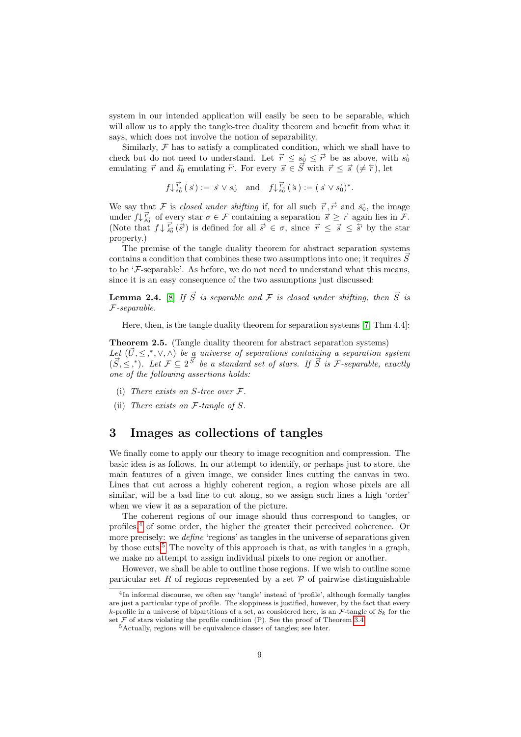system in our intended application will easily be seen to be separable, which will allow us to apply the tangle-tree duality theorem and benefit from what it says, which does not involve the notion of separability.

Similarly,  $F$  has to satisfy a complicated condition, which we shall have to check but do not need to understand. Let  $\vec{r} \leq \vec{s_0} \leq \vec{r'}$  be as above, with  $\vec{s_0}$ emulating  $\vec{r}$  and  $\vec{s}_0$  emulating  $\vec{r}$ . For every  $\vec{s} \in \vec{S}$  with  $\vec{r} \leq \vec{s}$  ( $\neq \vec{r}$ ), let

 $f \downarrow \frac{\vec{r}}{s_0^2} (\vec{s}) := \vec{s} \vee \vec{s_0}$  and  $f \downarrow \frac{\vec{r}}{s_0^2} (\vec{s}) := (\vec{s} \vee \vec{s_0})^*$ .

We say that F is closed under shifting if, for all such  $\vec{r}, \vec{r'}$  and  $\vec{s_0}$ , the image under  $f \downarrow \vec{f}$  of every star  $\sigma \in \mathcal{F}$  containing a separation  $\vec{s} \geq \vec{r}$  again lies in  $\vec{\mathcal{F}}$ . (Note that  $f \downarrow \frac{\vec{r}}{s_0}(\vec{s})$  is defined for all  $\vec{s} \in \sigma$ , since  $\vec{r} \leq \vec{s} \leq \vec{s}$  by the star property.)

The premise of the tangle duality theorem for abstract separation systems contains a condition that combines these two assumptions into one; it requires  $\vec{S}$ to be  $\mathcal{F}$ -separable'. As before, we do not need to understand what this means, since it is an easy consequence of the two assumptions just discussed:

<span id="page-8-3"></span>**Lemma 2.4.** [\[8\]](#page-21-5) If  $\vec{S}$  is separable and F is closed under shifting, then  $\vec{S}$  is F-separable.

Here, then, is the tangle duality theorem for separation systems [\[7,](#page-21-2) Thm 4.4]:

Theorem 2.5. (Tangle duality theorem for abstract separation systems) Let  $(\vec{U}, \leq, *, \vee, \wedge)$  be a universe of separations containing a separation system  $(\vec{S}, \leq, ^*)$ . Let  $\mathcal{F} \subseteq 2^{\vec{S}}$  be a standard set of stars. If  $\vec{S}$  is *F*-separable, exactly one of the following assertions holds:

- (i) There exists an  $S$ -tree over  $\mathcal{F}.$
- (ii) There exists an  $F$ -tangle of  $S$ .

## <span id="page-8-0"></span>3 Images as collections of tangles

We finally come to apply our theory to image recognition and compression. The basic idea is as follows. In our attempt to identify, or perhaps just to store, the main features of a given image, we consider lines cutting the canvas in two. Lines that cut across a highly coherent region, a region whose pixels are all similar, will be a bad line to cut along, so we assign such lines a high 'order' when we view it as a separation of the picture.

The coherent regions of our image should thus correspond to tangles, or profiles, $<sup>4</sup>$  $<sup>4</sup>$  $<sup>4</sup>$  of some order, the higher the greater their perceived coherence. Or</sup> more precisely: we *define* 'regions' as tangles in the universe of separations given by those cuts.<sup>[5](#page-8-2)</sup> The novelty of this approach is that, as with tangles in a graph, we make no attempt to assign individual pixels to one region or another.

However, we shall be able to outline those regions. If we wish to outline some particular set R of regions represented by a set  $P$  of pairwise distinguishable

<span id="page-8-1"></span><sup>4</sup> In informal discourse, we often say 'tangle' instead of 'profile', although formally tangles are just a particular type of profile. The sloppiness is justified, however, by the fact that every k-profile in a universe of bipartitions of a set, as considered here, is an  $\mathcal{F}$ -tangle of  $S_k$  for the set  $\mathcal F$  of stars violating the profile condition (P). See the proof of Theorem [3.4.](#page-12-0)

<span id="page-8-2"></span><sup>5</sup>Actually, regions will be equivalence classes of tangles; see later.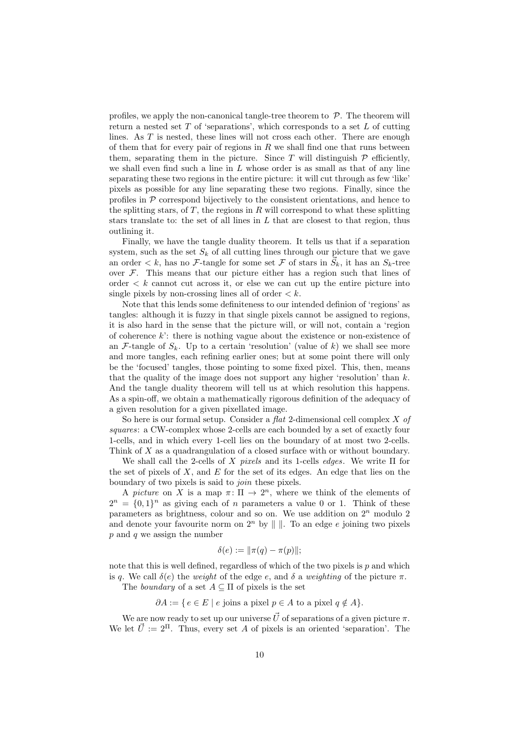profiles, we apply the non-canonical tangle-tree theorem to  $P$ . The theorem will return a nested set  $T$  of 'separations', which corresponds to a set  $L$  of cutting lines. As T is nested, these lines will not cross each other. There are enough of them that for every pair of regions in  $R$  we shall find one that runs between them, separating them in the picture. Since  $T$  will distinguish  $P$  efficiently, we shall even find such a line in  $L$  whose order is as small as that of any line separating these two regions in the entire picture: it will cut through as few 'like' pixels as possible for any line separating these two regions. Finally, since the profiles in  $P$  correspond bijectively to the consistent orientations, and hence to the splitting stars, of  $T$ , the regions in  $R$  will correspond to what these splitting stars translate to: the set of all lines in  $L$  that are closest to that region, thus outlining it.

Finally, we have the tangle duality theorem. It tells us that if a separation system, such as the set  $S_k$  of all cutting lines through our picture that we gave an order  $\lt k$ , has no F-tangle for some set F of stars in  $\vec{S}_k$ , it has an  $S_k$ -tree over  $F$ . This means that our picture either has a region such that lines of order  $\langle k \rangle$  cannot cut across it, or else we can cut up the entire picture into single pixels by non-crossing lines all of order  $\lt k$ .

Note that this lends some definiteness to our intended definion of 'regions' as tangles: although it is fuzzy in that single pixels cannot be assigned to regions, it is also hard in the sense that the picture will, or will not, contain a 'region of coherence  $k'$ : there is nothing vague about the existence or non-existence of an F-tangle of  $S_k$ . Up to a certain 'resolution' (value of k) we shall see more and more tangles, each refining earlier ones; but at some point there will only be the 'focused' tangles, those pointing to some fixed pixel. This, then, means that the quality of the image does not support any higher 'resolution' than  $k$ . And the tangle duality theorem will tell us at which resolution this happens. As a spin-off, we obtain a mathematically rigorous definition of the adequacy of a given resolution for a given pixellated image.

So here is our formal setup. Consider a  $flat$  2-dimensional cell complex X of squares: a CW-complex whose 2-cells are each bounded by a set of exactly four 1-cells, and in which every 1-cell lies on the boundary of at most two 2-cells. Think of X as a quadrangulation of a closed surface with or without boundary.

We shall call the 2-cells of X pixels and its 1-cells edges. We write  $\Pi$  for the set of pixels of X, and E for the set of its edges. An edge that lies on the boundary of two pixels is said to join these pixels.

A picture on X is a map  $\pi: \Pi \to 2^n$ , where we think of the elements of  $2^n = \{0,1\}^n$  as giving each of n parameters a value 0 or 1. Think of these parameters as brightness, colour and so on. We use addition on  $2^n$  modulo 2 and denote your favourite norm on  $2^n$  by  $\|\cdot\|$ . To an edge e joining two pixels  $p$  and  $q$  we assign the number

$$
\delta(e) := \|\pi(q) - \pi(p)\|;
$$

note that this is well defined, regardless of which of the two pixels is  $p$  and which is q. We call  $\delta(e)$  the weight of the edge e, and  $\delta$  a weighting of the picture  $\pi$ .

The *boundary* of a set  $A \subseteq \Pi$  of pixels is the set

$$
\partial A := \{ e \in E \mid e \text{ joins a pixel } p \in A \text{ to a pixel } q \notin A \}.
$$

We are now ready to set up our universe  $\vec{U}$  of separations of a given picture  $\pi$ . We let  $\vec{U} := 2^{\Pi}$ . Thus, every set A of pixels is an oriented 'separation'. The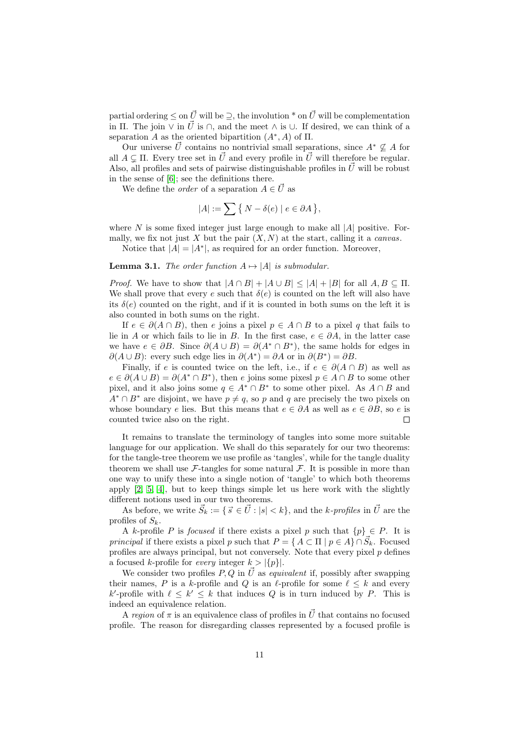partial ordering  $\leq$  on  $\vec{U}$  will be  $\geq$ , the involution  $*$  on  $\vec{U}$  will be complementation in Π. The join  $\vee$  in  $\vec{U}$  is  $\cap$ , and the meet  $\wedge$  is  $\cup$ . If desired, we can think of a separation A as the oriented bipartition  $(A^*, A)$  of  $\Pi$ .

Our universe  $\vec{U}$  contains no nontrivial small separations, since  $A^* \nsubseteq A$  for all  $A \subseteq \Pi$ . Every tree set in  $\vec{U}$  and every profile in  $\vec{U}$  will therefore be regular. Also, all profiles and sets of pairwise distinguishable profiles in  $\vec{U}$  will be robust in the sense of [\[6\]](#page-21-1); see the definitions there.

We define the *order* of a separation  $A \in \vec{U}$  as

$$
|A|:=\sum\big\{\,N-\delta(e)\mid e\in\partial A\,\big\},
$$

where  $N$  is some fixed integer just large enough to make all  $|A|$  positive. Formally, we fix not just X but the pair  $(X, N)$  at the start, calling it a *canvas*.

Notice that  $|A| = |A^*|$ , as required for an order function. Moreover,

**Lemma 3.1.** The order function  $A \mapsto |A|$  is submodular.

*Proof.* We have to show that  $|A \cap B| + |A \cup B| \leq |A| + |B|$  for all  $A, B \subseteq \Pi$ . We shall prove that every e such that  $\delta(e)$  is counted on the left will also have its  $\delta(e)$  counted on the right, and if it is counted in both sums on the left it is also counted in both sums on the right.

If  $e \in \partial (A \cap B)$ , then e joins a pixel  $p \in A \cap B$  to a pixel q that fails to lie in A or which fails to lie in B. In the first case,  $e \in \partial A$ , in the latter case we have  $e \in \partial B$ . Since  $\partial(A \cup B) = \partial(A^* \cap B^*)$ , the same holds for edges in  $\partial(A \cup B)$ : every such edge lies in  $\partial(A^*) = \partial A$  or in  $\partial(B^*) = \partial B$ .

Finally, if e is counted twice on the left, i.e., if  $e \in \partial(A \cap B)$  as well as  $e \in \partial(A \cup B) = \partial(A^* \cap B^*)$ , then e joins some pixesl  $p \in A \cap B$  to some other pixel, and it also joins some  $q \in A^* \cap B^*$  to some other pixel. As  $A \cap B$  and  $A^* \cap B^*$  are disjoint, we have  $p \neq q$ , so p and q are precisely the two pixels on whose boundary e lies. But this means that  $e \in \partial A$  as well as  $e \in \partial B$ , so e is counted twice also on the right.  $\Box$ 

It remains to translate the terminology of tangles into some more suitable language for our application. We shall do this separately for our two theorems: for the tangle-tree theorem we use profile as 'tangles', while for the tangle duality theorem we shall use  $\mathcal{F}\text{-tangles}$  for some natural  $\mathcal{F}\text{-}$ . It is possible in more than one way to unify these into a single notion of 'tangle' to which both theorems apply [\[2,](#page-21-6) [5,](#page-21-7) [4\]](#page-21-8), but to keep things simple let us here work with the slightly different notions used in our two theorems.

As before, we write  $\vec{S}_k := \{ \vec{s} \in \vec{U} : |s| < k \}$ , and the k-profiles in  $\vec{U}$  are the profiles of  $S_k$ .

A k-profile P is focused if there exists a pixel p such that  $\{p\} \in P$ . It is principal if there exists a pixel p such that  $P = \{ A \subset \Pi \mid p \in A \} \cap \vec{S}_k$ . Focused profiles are always principal, but not conversely. Note that every pixel  $p$  defines a focused k-profile for *every* integer  $k > |\{p\}|$ .

We consider two profiles P, Q in  $\vec{U}$  as *equivalent* if, possibly after swapping their names, P is a k-profile and Q is an  $\ell$ -profile for some  $\ell \leq k$  and every k'-profile with  $\ell \leq k' \leq k$  that induces Q is in turn induced by P. This is indeed an equivalence relation.

A region of  $\pi$  is an equivalence class of profiles in  $\vec{U}$  that contains no focused profile. The reason for disregarding classes represented by a focused profile is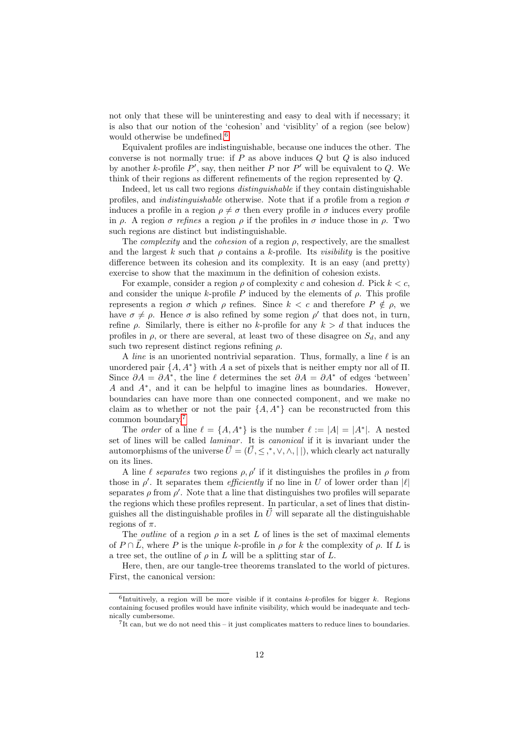not only that these will be uninteresting and easy to deal with if necessary; it is also that our notion of the 'cohesion' and 'visiblity' of a region (see below) would otherwise be undefined.<sup>[6](#page-11-0)</sup>

Equivalent profiles are indistinguishable, because one induces the other. The converse is not normally true: if  $P$  as above induces  $Q$  but  $Q$  is also induced by another k-profile  $P'$ , say, then neither P nor P' will be equivalent to Q. We think of their regions as different refinements of the region represented by Q.

Indeed, let us call two regions distinguishable if they contain distinguishable profiles, and *indistinguishable* otherwise. Note that if a profile from a region  $\sigma$ induces a profile in a region  $\rho \neq \sigma$  then every profile in  $\sigma$  induces every profile in  $\rho$ . A region  $\sigma$  refines a region  $\rho$  if the profiles in  $\sigma$  induce those in  $\rho$ . Two such regions are distinct but indistinguishable.

The *complexity* and the *cohesion* of a region  $\rho$ , respectively, are the smallest and the largest k such that  $\rho$  contains a k-profile. Its *visibility* is the positive difference between its cohesion and its complexity. It is an easy (and pretty) exercise to show that the maximum in the definition of cohesion exists.

For example, consider a region  $\rho$  of complexity c and cohesion d. Pick  $k < c$ , and consider the unique k-profile P induced by the elements of  $\rho$ . This profile represents a region  $\sigma$  which  $\rho$  refines. Since  $k < c$  and therefore  $P \notin \rho$ , we have  $\sigma \neq \rho$ . Hence  $\sigma$  is also refined by some region  $\rho'$  that does not, in turn, refine  $\rho$ . Similarly, there is either no k-profile for any  $k > d$  that induces the profiles in  $\rho$ , or there are several, at least two of these disagree on  $S_d$ , and any such two represent distinct regions refining  $\rho$ .

A line is an unoriented nontrivial separation. Thus, formally, a line  $\ell$  is an unordered pair  $\{A, A^*\}$  with A a set of pixels that is neither empty nor all of  $\Pi$ . Since  $\partial A = \partial A^*$ , the line  $\ell$  determines the set  $\partial A = \partial A^*$  of edges 'between' A and A<sup>∗</sup> , and it can be helpful to imagine lines as boundaries. However, boundaries can have more than one connected component, and we make no claim as to whether or not the pair  $\{A, A^*\}$  can be reconstructed from this common boundary.[7](#page-11-1)

The *order* of a line  $\ell = \{A, A^*\}$  is the number  $\ell := |A| = |A^*|$ . A nested set of lines will be called *laminar*. It is *canonical* if it is invariant under the automorphisms of the universe  $\vec{U} = (\vec{U}, \leq, *, \vee, \wedge, | \ |)$ , which clearly act naturally on its lines.

A line  $\ell$  separates two regions  $\rho$ ,  $\rho'$  if it distinguishes the profiles in  $\rho$  from those in  $\rho'$ . It separates them *efficiently* if no line in U of lower order than  $|\ell|$ separates  $\rho$  from  $\rho'$ . Note that a line that distinguishes two profiles will separate the regions which these profiles represent. In particular, a set of lines that distinguishes all the distinguishable profiles in  $\vec{U}$  will separate all the distinguishable regions of  $\pi$ .

The *outline* of a region  $\rho$  in a set L of lines is the set of maximal elements of  $P \cap \overline{L}$ , where P is the unique k-profile in ρ for k the complexity of ρ. If L is a tree set, the outline of  $\rho$  in L will be a splitting star of L.

Here, then, are our tangle-tree theorems translated to the world of pictures. First, the canonical version:

<span id="page-11-0"></span><sup>&</sup>lt;sup>6</sup>Intuitively, a region will be more visible if it contains k-profiles for bigger k. Regions containing focused profiles would have infinite visibility, which would be inadequate and technically cumbersome.

<span id="page-11-1"></span> $7$ It can, but we do not need this – it just complicates matters to reduce lines to boundaries.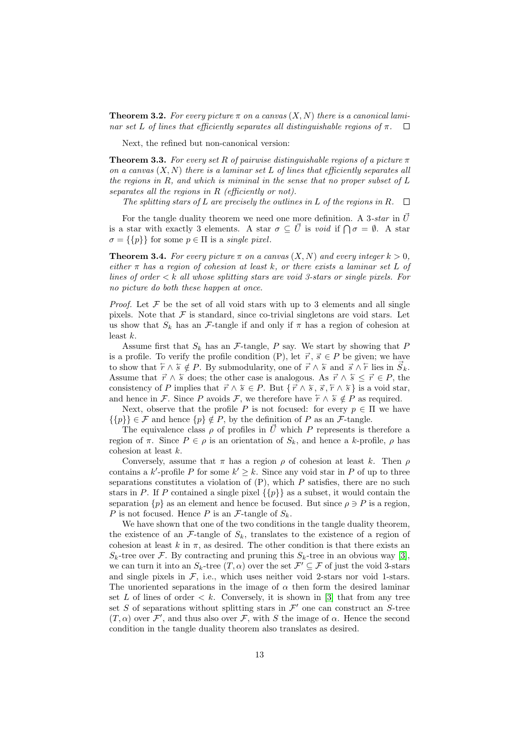<span id="page-12-1"></span>**Theorem 3.2.** For every picture  $\pi$  on a canvas  $(X, N)$  there is a canonical laminar set L of lines that efficiently separates all distinguishable regions of  $\pi$ .  $\Box$ 

Next, the refined but non-canonical version:

<span id="page-12-2"></span>**Theorem 3.3.** For every set R of pairwise distinguishable regions of a picture  $\pi$ on a canvas  $(X, N)$  there is a laminar set L of lines that efficiently separates all the regions in  $R$ , and which is miminal in the sense that no proper subset of  $L$ separates all the regions in R (efficiently or not).

The splitting stars of L are precisely the outlines in L of the regions in R.  $\Box$ 

For the tangle duality theorem we need one more definition. A 3-star in  $\vec{U}$ is a star with exactly 3 elements. A star  $\sigma \subseteq \vec{U}$  is void if  $\bigcap \sigma = \emptyset$ . A star  $\sigma = \{\{p\}\}\$ for some  $p \in \Pi$  is a *single pixel*.

<span id="page-12-0"></span>**Theorem 3.4.** For every picture  $\pi$  on a canvas  $(X, N)$  and every integer  $k > 0$ , either  $\pi$  has a region of cohesion at least k, or there exists a laminar set L of lines of order  $\lt k$  all whose splitting stars are void 3-stars or single pixels. For no picture do both these happen at once.

*Proof.* Let  $\mathcal F$  be the set of all void stars with up to 3 elements and all single pixels. Note that  $\mathcal F$  is standard, since co-trivial singletons are void stars. Let us show that  $S_k$  has an F-tangle if and only if  $\pi$  has a region of cohesion at least  $k$ .

Assume first that  $S_k$  has an F-tangle, P say. We start by showing that P is a profile. To verify the profile condition (P), let  $\vec{r}, \vec{s} \in P$  be given; we have to show that  $\overleftarrow{r} \wedge \overleftarrow{s} \notin P$ . By submodularity, one of  $\overrightarrow{r} \wedge \overleftarrow{s}$  and  $\overrightarrow{s} \wedge \overleftarrow{r}$  lies in  $\overrightarrow{S}_k$ . Assume that  $\vec{r} \wedge \vec{s}$  does; the other case is analogous. As  $\vec{r} \wedge \vec{s} \leq \vec{r} \in P$ , the consistency of P implies that  $\vec{r} \wedge \vec{s} \in P$ . But  $\{\vec{r} \wedge \vec{s}, \vec{s}, \vec{r} \wedge \vec{s}\}$  is a void star, and hence in F. Since P avoids F, we therefore have  $\overline{r} \wedge \overline{s} \notin P$  as required.

Next, observe that the profile P is not focused: for every  $p \in \Pi$  we have  $\{\{p\}\in\mathcal{F}$  and hence  $\{p\}\notin P$ , by the definition of P as an  $\mathcal{F}$ -tangle.

The equivalence class  $\rho$  of profiles in  $\vec{U}$  which P represents is therefore a region of  $\pi$ . Since  $P \in \rho$  is an orientation of  $S_k$ , and hence a k-profile,  $\rho$  has cohesion at least k.

Conversely, assume that  $\pi$  has a region  $\rho$  of cohesion at least k. Then  $\rho$ contains a k'-profile P for some  $k' \geq k$ . Since any void star in P of up to three separations constitutes a violation of  $(P)$ , which  $P$  satisfies, there are no such stars in P. If P contained a single pixel  $\{\{p\}\}\$ as a subset, it would contain the separation  $\{p\}$  as an element and hence be focused. But since  $\rho \ni P$  is a region, P is not focused. Hence P is an  $\mathcal{F}$ -tangle of  $S_k$ .

We have shown that one of the two conditions in the tangle duality theorem, the existence of an  $\mathcal{F}$ -tangle of  $S_k$ , translates to the existence of a region of cohesion at least k in  $\pi$ , as desired. The other condition is that there exists an  $S_k$ -tree over F. By contracting and pruning this  $S_k$ -tree in an obvious way [\[3\]](#page-21-4), we can turn it into an  $S_k$ -tree  $(T, \alpha)$  over the set  $\mathcal{F}' \subseteq \mathcal{F}$  of just the void 3-stars and single pixels in  $\mathcal{F}$ , i.e., which uses neither void 2-stars nor void 1-stars. The unoriented separations in the image of  $\alpha$  then form the desired laminar set  $L$  of lines of order  $\langle k. \rangle$  Conversely, it is shown in [\[3\]](#page-21-4) that from any tree set S of separations without splitting stars in  $\mathcal{F}'$  one can construct an S-tree  $(T, \alpha)$  over F', and thus also over F, with S the image of  $\alpha$ . Hence the second condition in the tangle duality theorem also translates as desired.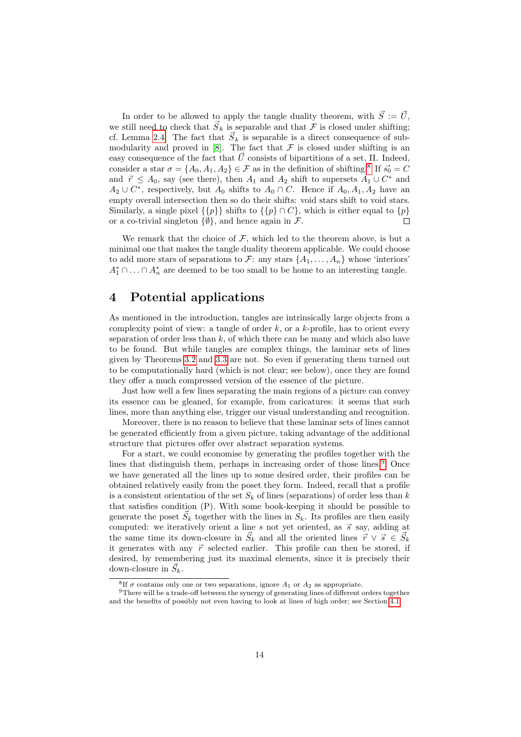In order to be allowed to apply the tangle duality theorem, with  $\vec{S} := \vec{U}$ , we still need to check that  $\vec{S}_k$  is separable and that  $\mathcal F$  is closed under shifting; cf. Lemma [2.4.](#page-8-3) The fact that  $\vec{S}_k$  is separable is a direct consequence of submodularity and proved in  $[8]$ . The fact that  $\mathcal F$  is closed under shifting is an easy consequence of the fact that  $\vec{U}$  consists of bipartitions of a set,  $\Pi$ . Indeed, consider a star  $\sigma = \{A_0, A_1, A_2\} \in \mathcal{F}$  as in the definition of shifting.<sup>[8](#page-13-0)</sup> If  $\vec{s_0} = C$ and  $\vec{r} \leq A_0$ , say (see there), then  $A_1$  and  $A_2$  shift to supersets  $A_1 \cup C^*$  and  $A_2 \cup C^*$ , respectively, but  $A_0$  shifts to  $A_0 \cap C$ . Hence if  $A_0, A_1, A_2$  have an empty overall intersection then so do their shifts: void stars shift to void stars. Similarly, a single pixel  $\{\{p\}\}\$  shifts to  $\{\{p\}\cap C\}$ , which is either equal to  $\{p\}$ or a co-trivial singleton  $\{\emptyset\}$ , and hence again in F.  $\Box$ 

We remark that the choice of  $F$ , which led to the theorem above, is but a minimal one that makes the tangle duality theorem applicable. We could choose to add more stars of separations to F: any stars  $\{A_1, \ldots, A_n\}$  whose 'interiors'  $A_1^* \cap \ldots \cap A_n^*$  are deemed to be too small to be home to an interesting tangle.

# 4 Potential applications

As mentioned in the introduction, tangles are intrinsically large objects from a complexity point of view: a tangle of order  $k$ , or a  $k$ -profile, has to orient every separation of order less than  $k$ , of which there can be many and which also have to be found. But while tangles are complex things, the laminar sets of lines given by Theorems [3.2](#page-12-1) and [3.3](#page-12-2) are not. So even if generating them turned out to be computationally hard (which is not clear; see below), once they are found they offer a much compressed version of the essence of the picture.

Just how well a few lines separating the main regions of a picture can convey its essence can be gleaned, for example, from caricatures: it seems that such lines, more than anything else, trigger our visual understanding and recognition.

Moreover, there is no reason to believe that these laminar sets of lines cannot be generated efficiently from a given picture, taking advantage of the additional structure that pictures offer over abstract separation systems.

For a start, we could economise by generating the profiles together with the lines that distinguish them, perhaps in increasing order of those lines.<sup>[9](#page-13-1)</sup> Once we have generated all the lines up to some desired order, their profiles can be obtained relatively easily from the poset they form. Indeed, recall that a profile is a consistent orientation of the set  $S_k$  of lines (separations) of order less than k that satisfies condition (P). With some book-keeping it should be possible to generate the poset  $\vec{S}_k$  together with the lines in  $S_k$ . Its profiles are then easily computed: we iteratively orient a line s not yet oriented, as  $\vec{s}$  say, adding at the same time its down-closure in  $\vec{S}_k$  and all the oriented lines  $\vec{r} \vee \vec{s} \in \vec{S}_k$ it generates with any  $\vec{r}$  selected earlier. This profile can then be stored, if desired, by remembering just its maximal elements, since it is precisely their down-closure in  $\vec{S}_k$ .

<span id="page-13-1"></span><span id="page-13-0"></span><sup>&</sup>lt;sup>8</sup>If  $\sigma$  contains only one or two separations, ignore  $A_1$  or  $A_2$  as appropriate.

<sup>&</sup>lt;sup>9</sup>There will be a trade-off between the synergy of generating lines of different orders together and the benefits of possibly not even having to look at lines of high order; see Section [4.1.](#page-14-0)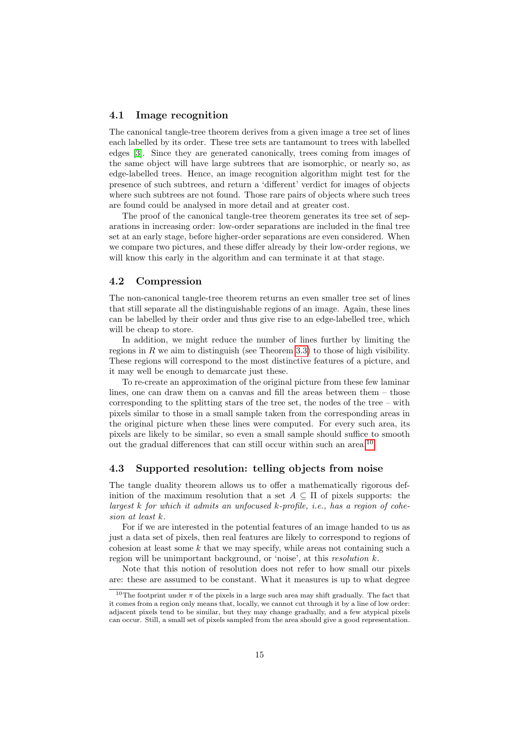#### <span id="page-14-0"></span>4.1 Image recognition

The canonical tangle-tree theorem derives from a given image a tree set of lines each labelled by its order. These tree sets are tantamount to trees with labelled edges [\[3\]](#page-21-4). Since they are generated canonically, trees coming from images of the same object will have large subtrees that are isomorphic, or nearly so, as edge-labelled trees. Hence, an image recognition algorithm might test for the presence of such subtrees, and return a 'different' verdict for images of objects where such subtrees are not found. Those rare pairs of objects where such trees are found could be analysed in more detail and at greater cost.

The proof of the canonical tangle-tree theorem generates its tree set of separations in increasing order: low-order separations are included in the final tree set at an early stage, before higher-order separations are even considered. When we compare two pictures, and these differ already by their low-order regions, we will know this early in the algorithm and can terminate it at that stage.

## 4.2 Compression

The non-canonical tangle-tree theorem returns an even smaller tree set of lines that still separate all the distinguishable regions of an image. Again, these lines can be labelled by their order and thus give rise to an edge-labelled tree, which will be cheap to store.

In addition, we might reduce the number of lines further by limiting the regions in R we aim to distinguish (see Theorem [3.3\)](#page-12-2) to those of high visibility. These regions will correspond to the most distinctive features of a picture, and it may well be enough to demarcate just these.

To re-create an approximation of the original picture from these few laminar lines, one can draw them on a canvas and fill the areas between them – those corresponding to the splitting stars of the tree set, the nodes of the tree – with pixels similar to those in a small sample taken from the corresponding areas in the original picture when these lines were computed. For every such area, its pixels are likely to be similar, so even a small sample should suffice to smooth out the gradual differences that can still occur within such an area.[10](#page-14-1)

### 4.3 Supported resolution: telling objects from noise

The tangle duality theorem allows us to offer a mathematically rigorous definition of the maximum resolution that a set  $A \subseteq \Pi$  of pixels supports: the largest k for which it admits an unfocused k-profile, i.e., has a region of cohesion at least k.

For if we are interested in the potential features of an image handed to us as just a data set of pixels, then real features are likely to correspond to regions of cohesion at least some  $k$  that we may specify, while areas not containing such a region will be unimportant background, or 'noise', at this resolution k.

Note that this notion of resolution does not refer to how small our pixels are: these are assumed to be constant. What it measures is up to what degree

<span id="page-14-1"></span><sup>&</sup>lt;sup>10</sup>The footprint under  $\pi$  of the pixels in a large such area may shift gradually. The fact that it comes from a region only means that, locally, we cannot cut through it by a line of low order: adjacent pixels tend to be similar, but they may change gradually, and a few atypical pixels can occur. Still, a small set of pixels sampled from the area should give a good representation.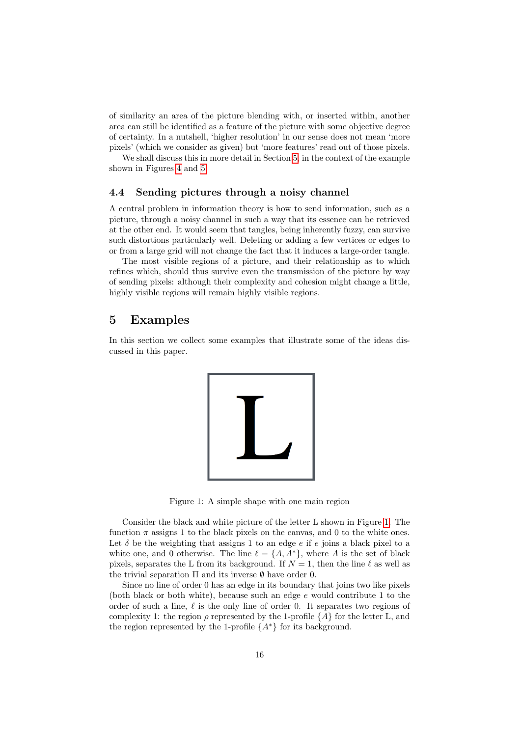of similarity an area of the picture blending with, or inserted within, another area can still be identified as a feature of the picture with some objective degree of certainty. In a nutshell, 'higher resolution' in our sense does not mean 'more pixels' (which we consider as given) but 'more features' read out of those pixels.

We shall discuss this in more detail in Section [5,](#page-15-0) in the context of the example shown in Figures [4](#page-18-0) and [5.](#page-19-0)

## 4.4 Sending pictures through a noisy channel

A central problem in information theory is how to send information, such as a picture, through a noisy channel in such a way that its essence can be retrieved at the other end. It would seem that tangles, being inherently fuzzy, can survive such distortions particularly well. Deleting or adding a few vertices or edges to or from a large grid will not change the fact that it induces a large-order tangle.

The most visible regions of a picture, and their relationship as to which refines which, should thus survive even the transmission of the picture by way of sending pixels: although their complexity and cohesion might change a little, highly visible regions will remain highly visible regions.

## <span id="page-15-0"></span>5 Examples

In this section we collect some examples that illustrate some of the ideas discussed in this paper.



Figure 1: A simple shape with one main region

<span id="page-15-1"></span>Consider the black and white picture of the letter L shown in Figure [1.](#page-15-1) The function  $\pi$  assigns 1 to the black pixels on the canvas, and 0 to the white ones. Let  $\delta$  be the weighting that assigns 1 to an edge  $e$  if  $e$  joins a black pixel to a white one, and 0 otherwise. The line  $\ell = \{A, A^*\}$ , where A is the set of black pixels, separates the L from its background. If  $N = 1$ , then the line  $\ell$  as well as the trivial separation  $\Pi$  and its inverse  $\emptyset$  have order 0.

Since no line of order 0 has an edge in its boundary that joins two like pixels (both black or both white), because such an edge e would contribute 1 to the order of such a line,  $\ell$  is the only line of order 0. It separates two regions of complexity 1: the region  $\rho$  represented by the 1-profile  $\{A\}$  for the letter L, and the region represented by the 1-profile  $\{A^*\}$  for its background.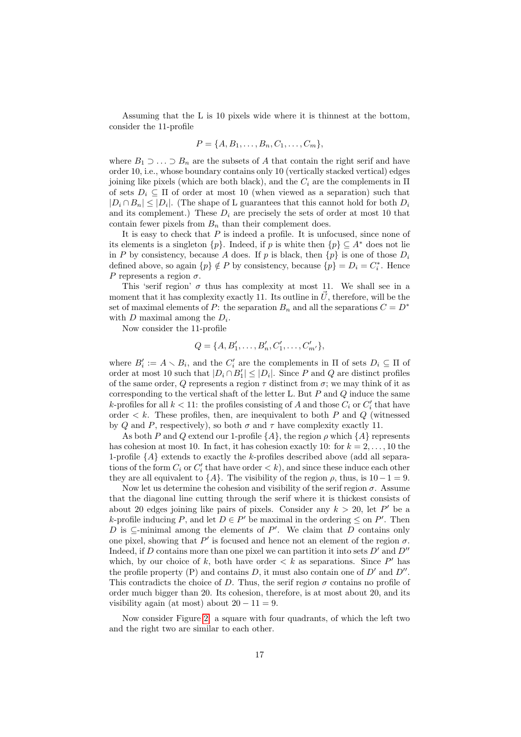Assuming that the L is 10 pixels wide where it is thinnest at the bottom, consider the 11-profile

$$
P = \{A, B_1, \dots, B_n, C_1, \dots, C_m\},\
$$

where  $B_1 \supset \ldots \supset B_n$  are the subsets of A that contain the right serif and have order 10, i.e., whose boundary contains only 10 (vertically stacked vertical) edges joining like pixels (which are both black), and the  $C_i$  are the complements in  $\Pi$ of sets  $D_i \subseteq \Pi$  of order at most 10 (when viewed as a separation) such that  $|D_i \cap B_n| \leq |D_i|$ . (The shape of L guarantees that this cannot hold for both  $D_i$ and its complement.) These  $D_i$  are precisely the sets of order at most 10 that contain fewer pixels from  $B_n$  than their complement does.

It is easy to check that  $P$  is indeed a profile. It is unfocused, since none of its elements is a singleton  $\{p\}$ . Indeed, if p is white then  $\{p\} \subseteq A^*$  does not lie in P by consistency, because A does. If p is black, then  $\{p\}$  is one of those  $D_i$ defined above, so again  $\{p\} \notin P$  by consistency, because  $\{p\} = D_i = C_i^*$ . Hence P represents a region  $\sigma$ .

This 'serif region'  $\sigma$  thus has complexity at most 11. We shall see in a moment that it has complexity exactly 11. Its outline in  $\vec{U}$ , therefore, will be the set of maximal elements of P: the separation  $B_n$  and all the separations  $C = D^*$ with  $D$  maximal among the  $D_i$ .

Now consider the 11-profile

$$
Q = \{A, B'_1, \dots, B'_n, C'_1, \dots, C'_{m'}\},\
$$

where  $B_i' := A \setminus B_i$ , and the  $C_i'$  are the complements in  $\Pi$  of sets  $D_i \subseteq \Pi$  of order at most 10 such that  $|D_i \cap B'_1| \leq |D_i|$ . Since P and Q are distinct profiles of the same order, Q represents a region  $\tau$  distinct from  $\sigma$ ; we may think of it as corresponding to the vertical shaft of the letter L. But  $P$  and  $Q$  induce the same k-profiles for all  $k < 11$ : the profiles consisting of A and those  $C_i$  or  $C'_i$  that have order  $\lt k$ . These profiles, then, are inequivalent to both P and Q (witnessed by Q and P, respectively), so both  $\sigma$  and  $\tau$  have complexity exactly 11.

As both P and Q extend our 1-profile  $\{A\}$ , the region  $\rho$  which  $\{A\}$  represents has cohesion at most 10. In fact, it has cohesion exactly 10: for  $k = 2, \ldots, 10$  the 1-profile  $\{A\}$  extends to exactly the k-profiles described above (add all separations of the form  $C_i$  or  $C'_i$  that have order  $\langle k \rangle$ , and since these induce each other they are all equivalent to  ${A}$ . The visibility of the region  $\rho$ , thus, is 10−1 = 9.

Now let us determine the cohesion and visibility of the serif region  $\sigma$ . Assume that the diagonal line cutting through the serif where it is thickest consists of about 20 edges joining like pairs of pixels. Consider any  $k > 20$ , let P' be a k-profile inducing P, and let  $D \in P'$  be maximal in the ordering  $\leq$  on P'. Then D is  $\subseteq$ -minimal among the elements of P'. We claim that D contains only one pixel, showing that  $P'$  is focused and hence not an element of the region  $\sigma$ . Indeed, if D contains more than one pixel we can partition it into sets  $D'$  and  $D''$ which, by our choice of k, both have order  $\langle k \rangle$  as separations. Since P' has the profile property (P) and contains  $D$ , it must also contain one of  $D'$  and  $D''$ . This contradicts the choice of D. Thus, the serif region  $\sigma$  contains no profile of order much bigger than 20. Its cohesion, therefore, is at most about 20, and its visibility again (at most) about  $20 - 11 = 9$ .

Now consider Figure [2:](#page-17-0) a square with four quadrants, of which the left two and the right two are similar to each other.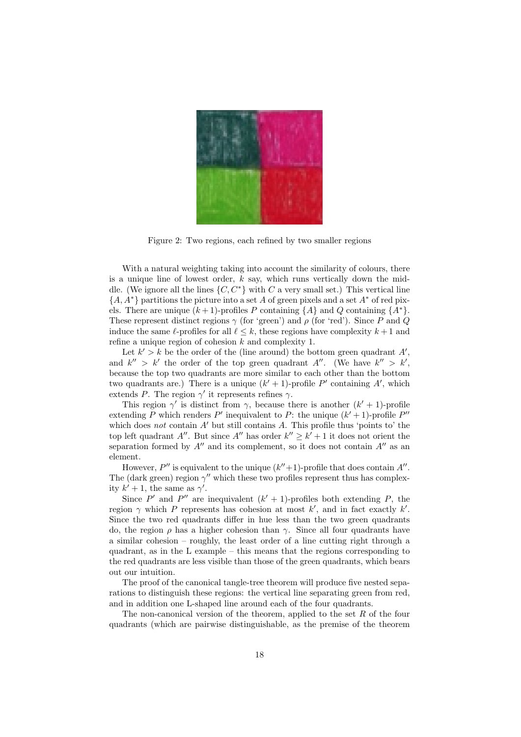

<span id="page-17-0"></span>Figure 2: Two regions, each refined by two smaller regions

With a natural weighting taking into account the similarity of colours, there is a unique line of lowest order,  $k$  say, which runs vertically down the middle. (We ignore all the lines  $\{C, C^*\}$  with C a very small set.) This vertical line  ${A, A^*}$  partitions the picture into a set A of green pixels and a set  $A^*$  of red pixels. There are unique  $(k + 1)$ -profiles P containing  $\{A\}$  and Q containing  $\{A^*\}.$ These represent distinct regions  $\gamma$  (for 'green') and  $\rho$  (for 'red'). Since P and Q induce the same  $\ell$ -profiles for all  $\ell \leq k$ , these regions have complexity  $k + 1$  and refine a unique region of cohesion  $k$  and complexity 1.

Let  $k' > k$  be the order of the (line around) the bottom green quadrant  $A'$ , and  $k'' > k'$  the order of the top green quadrant A''. (We have  $k'' > k'$ , because the top two quadrants are more similar to each other than the bottom two quadrants are.) There is a unique  $(k' + 1)$ -profile P' containing A', which extends P. The region  $\gamma'$  it represents refines  $\gamma$ .

This region  $\gamma'$  is distinct from  $\gamma$ , because there is another  $(k'+1)$ -profile extending P which renders P' inequivalent to P: the unique  $(k' + 1)$ -profile P'' which does not contain  $A'$  but still contains A. This profile thus 'points to' the top left quadrant A''. But since A'' has order  $k'' \geq k' + 1$  it does not orient the separation formed by  $A''$  and its complement, so it does not contain  $A''$  as an element.

However,  $P''$  is equivalent to the unique  $(k''+1)$ -profile that does contain  $A''$ . The (dark green) region  $\gamma''$  which these two profiles represent thus has complexity  $k' + 1$ , the same as  $\gamma'$ .

Since P' and P'' are inequivalent  $(k' + 1)$ -profiles both extending P, the region  $\gamma$  which P represents has cohesion at most k', and in fact exactly k'. Since the two red quadrants differ in hue less than the two green quadrants do, the region  $\rho$  has a higher cohesion than  $\gamma$ . Since all four quadrants have a similar cohesion – roughly, the least order of a line cutting right through a quadrant, as in the L example – this means that the regions corresponding to the red quadrants are less visible than those of the green quadrants, which bears out our intuition.

The proof of the canonical tangle-tree theorem will produce five nested separations to distinguish these regions: the vertical line separating green from red, and in addition one L-shaped line around each of the four quadrants.

The non-canonical version of the theorem, applied to the set  $R$  of the four quadrants (which are pairwise distinguishable, as the premise of the theorem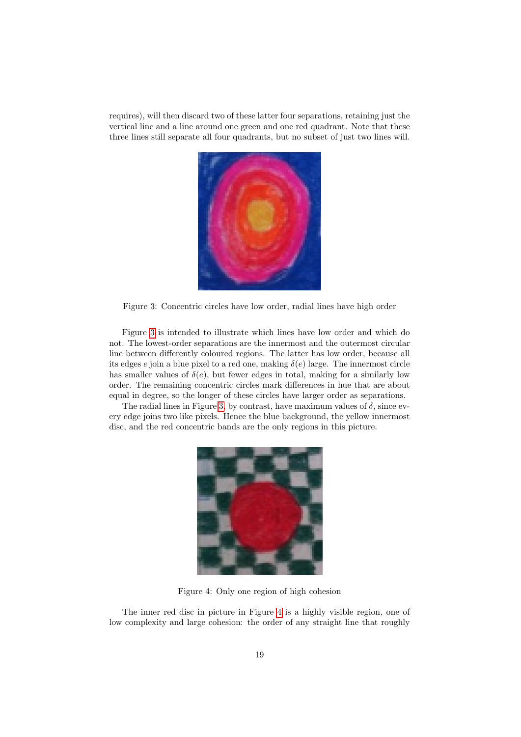requires), will then discard two of these latter four separations, retaining just the vertical line and a line around one green and one red quadrant. Note that these three lines still separate all four quadrants, but no subset of just two lines will.



Figure 3: Concentric circles have low order, radial lines have high order

<span id="page-18-1"></span>Figure [3](#page-18-1) is intended to illustrate which lines have low order and which do not. The lowest-order separations are the innermost and the outermost circular line between differently coloured regions. The latter has low order, because all its edges e join a blue pixel to a red one, making  $\delta(e)$  large. The innermost circle has smaller values of  $\delta(e)$ , but fewer edges in total, making for a similarly low order. The remaining concentric circles mark differences in hue that are about equal in degree, so the longer of these circles have larger order as separations.

The radial lines in Figure [3,](#page-18-1) by contrast, have maximum values of  $\delta$ , since every edge joins two like pixels. Hence the blue background, the yellow innermost disc, and the red concentric bands are the only regions in this picture.



Figure 4: Only one region of high cohesion

<span id="page-18-0"></span>The inner red disc in picture in Figure [4](#page-18-0) is a highly visible region, one of low complexity and large cohesion: the order of any straight line that roughly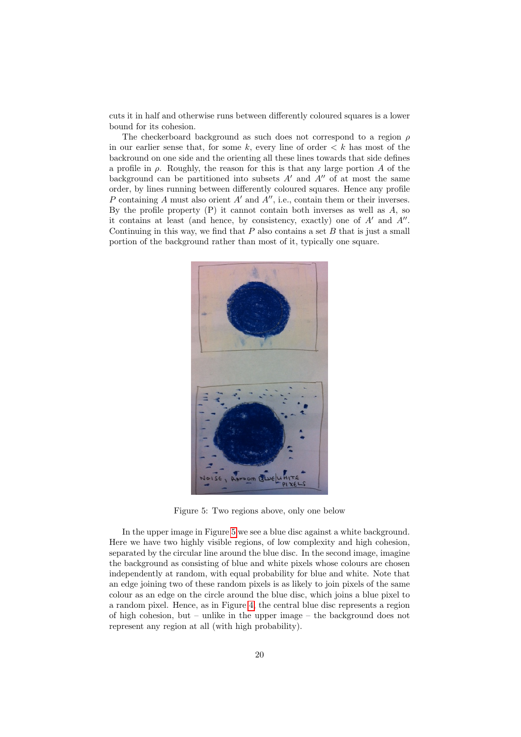cuts it in half and otherwise runs between differently coloured squares is a lower bound for its cohesion.

The checkerboard background as such does not correspond to a region  $\rho$ in our earlier sense that, for some k, every line of order  $\lt k$  has most of the backround on one side and the orienting all these lines towards that side defines a profile in  $\rho$ . Roughly, the reason for this is that any large portion A of the background can be partitioned into subsets  $A'$  and  $A''$  of at most the same order, by lines running between differently coloured squares. Hence any profile P containing A must also orient  $A'$  and  $A''$ , i.e., contain them or their inverses. By the profile property  $(P)$  it cannot contain both inverses as well as  $A$ , so it contains at least (and hence, by consistency, exactly) one of  $A'$  and  $A''$ . Continuing in this way, we find that  $P$  also contains a set  $B$  that is just a small portion of the background rather than most of it, typically one square.



<span id="page-19-0"></span>Figure 5: Two regions above, only one below

In the upper image in Figure [5](#page-19-0) we see a blue disc against a white background. Here we have two highly visible regions, of low complexity and high cohesion, separated by the circular line around the blue disc. In the second image, imagine the background as consisting of blue and white pixels whose colours are chosen independently at random, with equal probability for blue and white. Note that an edge joining two of these random pixels is as likely to join pixels of the same colour as an edge on the circle around the blue disc, which joins a blue pixel to a random pixel. Hence, as in Figure [4,](#page-18-0) the central blue disc represents a region of high cohesion, but – unlike in the upper image – the background does not represent any region at all (with high probability).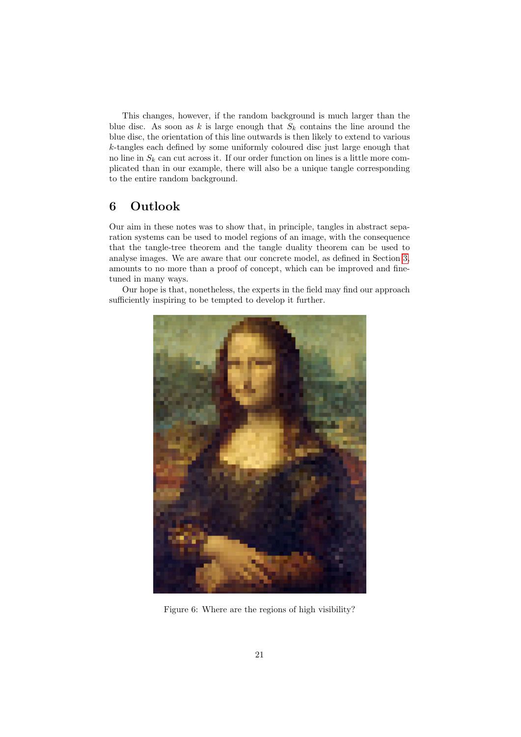This changes, however, if the random background is much larger than the blue disc. As soon as k is large enough that  $S_k$  contains the line around the blue disc, the orientation of this line outwards is then likely to extend to various k-tangles each defined by some uniformly coloured disc just large enough that no line in  $S_k$  can cut across it. If our order function on lines is a little more complicated than in our example, there will also be a unique tangle corresponding to the entire random background.

# 6 Outlook

Our aim in these notes was to show that, in principle, tangles in abstract separation systems can be used to model regions of an image, with the consequence that the tangle-tree theorem and the tangle duality theorem can be used to analyse images. We are aware that our concrete model, as defined in Section [3,](#page-8-0) amounts to no more than a proof of concept, which can be improved and finetuned in many ways.

Our hope is that, nonetheless, the experts in the field may find our approach sufficiently inspiring to be tempted to develop it further.



Figure 6: Where are the regions of high visibility?